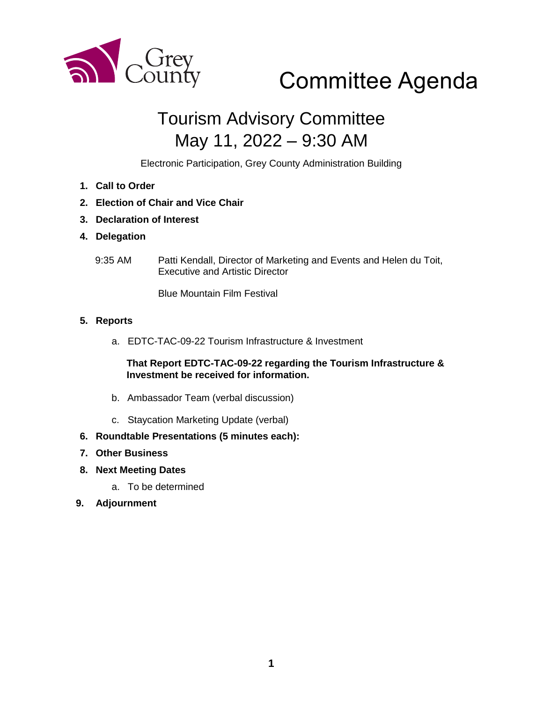

# Committee Agenda

## Tourism Advisory Committee May 11, 2022 – 9:30 AM

Electronic Participation, Grey County Administration Building

- **1. Call to Order**
- **2. Election of Chair and Vice Chair**
- **3. Declaration of Interest**
- **4. Delegation**
	- 9:35 AM Patti Kendall, Director of Marketing and Events and Helen du Toit, Executive and Artistic Director

Blue Mountain Film Festival

#### **5. Reports**

a. EDTC-TAC-09-22 Tourism Infrastructure & Investment

#### **That Report EDTC-TAC-09-22 regarding the Tourism Infrastructure & Investment be received for information.**

- b. Ambassador Team (verbal discussion)
- c. Staycation Marketing Update (verbal)
- **6. Roundtable Presentations (5 minutes each):**
- **7. Other Business**
- **8. Next Meeting Dates**
	- a. To be determined
- **9. Adjournment**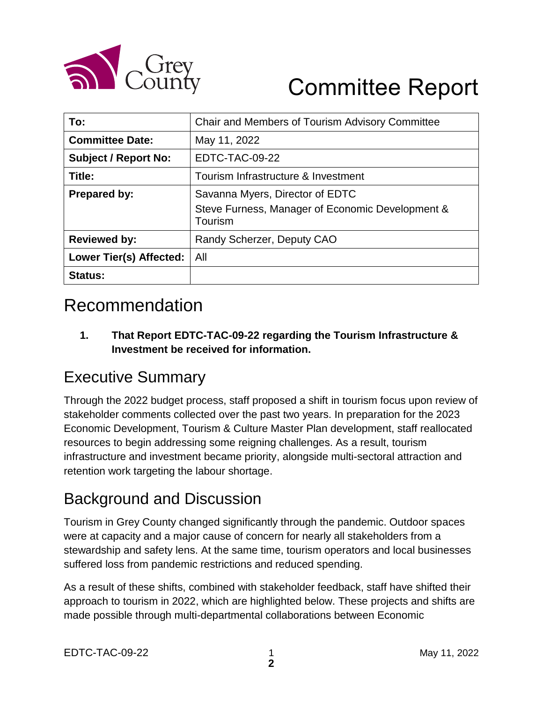

# Committee Report

| To:                         | Chair and Members of Tourism Advisory Committee             |
|-----------------------------|-------------------------------------------------------------|
| <b>Committee Date:</b>      | May 11, 2022                                                |
| <b>Subject / Report No:</b> | EDTC-TAC-09-22                                              |
| Title:                      | Tourism Infrastructure & Investment                         |
| <b>Prepared by:</b>         | Savanna Myers, Director of EDTC                             |
|                             | Steve Furness, Manager of Economic Development &<br>Tourism |
| <b>Reviewed by:</b>         | Randy Scherzer, Deputy CAO                                  |
| Lower Tier(s) Affected:     | All                                                         |
| <b>Status:</b>              |                                                             |

### Recommendation

**1. That Report EDTC-TAC-09-22 regarding the Tourism Infrastructure & Investment be received for information.**

### Executive Summary

Through the 2022 budget process, staff proposed a shift in tourism focus upon review of stakeholder comments collected over the past two years. In preparation for the 2023 Economic Development, Tourism & Culture Master Plan development, staff reallocated resources to begin addressing some reigning challenges. As a result, tourism infrastructure and investment became priority, alongside multi-sectoral attraction and retention work targeting the labour shortage.

### Background and Discussion

Tourism in Grey County changed significantly through the pandemic. Outdoor spaces were at capacity and a major cause of concern for nearly all stakeholders from a stewardship and safety lens. At the same time, tourism operators and local businesses suffered loss from pandemic restrictions and reduced spending.

As a result of these shifts, combined with stakeholder feedback, staff have shifted their approach to tourism in 2022, which are highlighted below. These projects and shifts are made possible through multi-departmental collaborations between Economic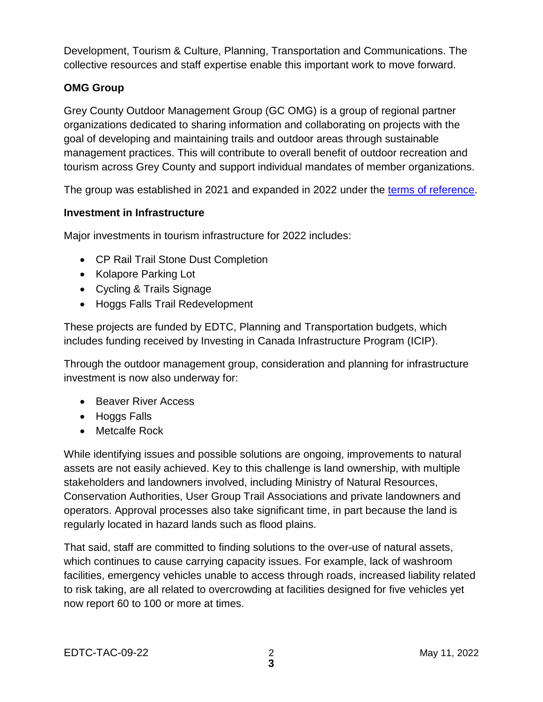Development, Tourism & Culture, Planning, Transportation and Communications. The collective resources and staff expertise enable this important work to move forward.

#### **OMG Group**

Grey County Outdoor Management Group (GC OMG) is a group of regional partner organizations dedicated to sharing information and collaborating on projects with the goal of developing and maintaining trails and outdoor areas through sustainable management practices. This will contribute to overall benefit of outdoor recreation and tourism across Grey County and support individual mandates of member organizations.

The group was established in 2021 and expanded in 2022 under the [terms of reference.](https://docs.grey.ca/share/public?nodeRef=workspace://SpacesStore/4484600b-018b-4c6e-8d7a-3cb44d4bc68c)

#### **Investment in Infrastructure**

Major investments in tourism infrastructure for 2022 includes:

- CP Rail Trail Stone Dust Completion
- Kolapore Parking Lot
- Cycling & Trails Signage
- Hoggs Falls Trail Redevelopment

These projects are funded by EDTC, Planning and Transportation budgets, which includes funding received by Investing in Canada Infrastructure Program (ICIP).

Through the outdoor management group, consideration and planning for infrastructure investment is now also underway for:

- Beaver River Access
- Hoggs Falls
- Metcalfe Rock

While identifying issues and possible solutions are ongoing, improvements to natural assets are not easily achieved. Key to this challenge is land ownership, with multiple stakeholders and landowners involved, including Ministry of Natural Resources, Conservation Authorities, User Group Trail Associations and private landowners and operators. Approval processes also take significant time, in part because the land is regularly located in hazard lands such as flood plains.

That said, staff are committed to finding solutions to the over-use of natural assets, which continues to cause carrying capacity issues. For example, lack of washroom facilities, emergency vehicles unable to access through roads, increased liability related to risk taking, are all related to overcrowding at facilities designed for five vehicles yet now report 60 to 100 or more at times.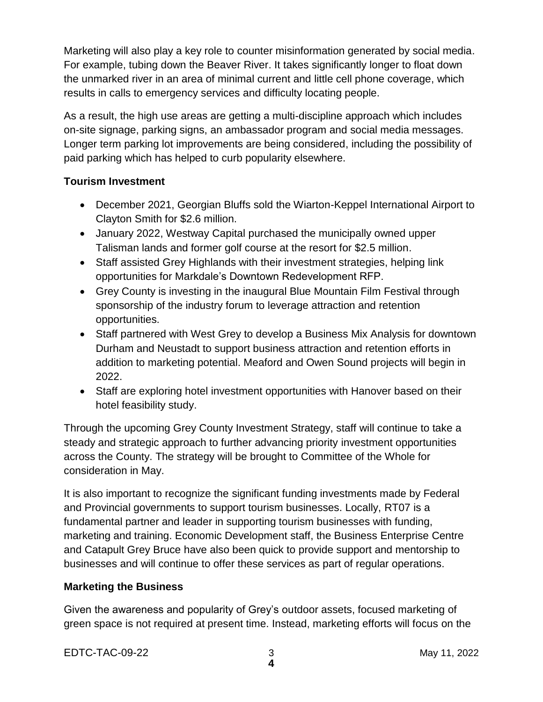Marketing will also play a key role to counter misinformation generated by social media. For example, tubing down the Beaver River. It takes significantly longer to float down the unmarked river in an area of minimal current and little cell phone coverage, which results in calls to emergency services and difficulty locating people.

As a result, the high use areas are getting a multi-discipline approach which includes on-site signage, parking signs, an ambassador program and social media messages. Longer term parking lot improvements are being considered, including the possibility of paid parking which has helped to curb popularity elsewhere.

#### **Tourism Investment**

- December 2021, Georgian Bluffs sold the Wiarton-Keppel International Airport to Clayton Smith for \$2.6 million.
- January 2022, Westway Capital purchased the municipally owned upper Talisman lands and former golf course at the resort for \$2.5 million.
- Staff assisted Grey Highlands with their investment strategies, helping link opportunities for Markdale's Downtown Redevelopment RFP.
- Grey County is investing in the inaugural Blue Mountain Film Festival through sponsorship of the industry forum to leverage attraction and retention opportunities.
- Staff partnered with West Grey to develop a Business Mix Analysis for downtown Durham and Neustadt to support business attraction and retention efforts in addition to marketing potential. Meaford and Owen Sound projects will begin in 2022.
- Staff are exploring hotel investment opportunities with Hanover based on their hotel feasibility study.

Through the upcoming Grey County Investment Strategy, staff will continue to take a steady and strategic approach to further advancing priority investment opportunities across the County. The strategy will be brought to Committee of the Whole for consideration in May.

It is also important to recognize the significant funding investments made by Federal and Provincial governments to support tourism businesses. Locally, RT07 is a fundamental partner and leader in supporting tourism businesses with funding, marketing and training. Economic Development staff, the Business Enterprise Centre and Catapult Grey Bruce have also been quick to provide support and mentorship to businesses and will continue to offer these services as part of regular operations.

#### **Marketing the Business**

Given the awareness and popularity of Grey's outdoor assets, focused marketing of green space is not required at present time. Instead, marketing efforts will focus on the

EDTC-TAC-09-22 3 May 11, 2022